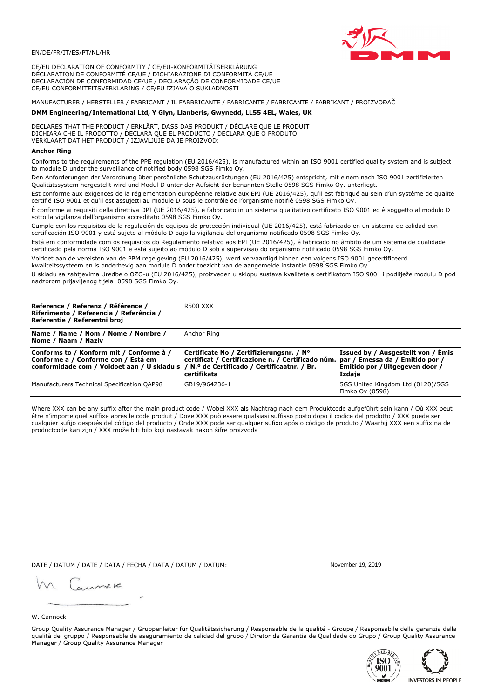

CE/EU DECLARATION OF CONFORMITY / CE/EU-KONFORMITÄTSERKLÄRUNG DÉCLARATION DE CONFORMITÉ CE/UE / DICHIARAZIONE DI CONFORMITÀ CE/UE DECLARACIÓN DE CONFORMIDAD CE/UE / DECLARAÇÃO DE CONFORMIDADE CE/UE CE/EU CONFORMITEITSVERKLARING / CE/EU IZJAVA O SUKLADNOSTI

# MANUFACTURER / HERSTELLER / FABRICANT / IL FABBRICANTE / FABRICANTE / FABRICANTE / FABRIKANT / PROIZVOĐAČ

# DMM Engineering/International Ltd, Y Glyn, Llanberis, Gwynedd, LL55 4EL, Wales, UK

DECLARES THAT THE PRODUCT / ERKLÄRT, DASS DAS PRODUKT / DÉCLARE QUE LE PRODUIT<br>DICHIARA CHE IL PRODOTTO / DECLARA QUE EL PRODUCTO / DECLARA QUE O PRODUTO VERKLAART DAT HET PRODUCT / IZJAVLJUJE DA JE PROIZVOD:

### **Anchor Ring**

Conforms to the requirements of the PPE regulation (EU 2016/425), is manufactured within an ISO 9001 certified quality system and is subject to module D under the surveillance of notified body 0598 SGS Fimko Oy.

Den Anforderungen der Verordnung über persönliche Schutzausrüstungen (EU 2016/425) entspricht, mit einem nach ISO 9001 zertifizierten Qualitätssystem hergestellt wird und Modul D unter der Aufsicht der benannten Stelle 0598 SGS Fimko Oy. unterliegt.

Est conforme aux exigences de la réglementation européenne relative aux EPI (UE 2016/425), qu'il est fabriqué au sein d'un système de qualité certifié ISO 9001 et qu'il est assujetti au module D sous le contrôle de l'organisme notifié 0598 SGS Fimko Oy.

È conforme ai requisiti della direttiva DPI (UE 2016/425), è fabbricato in un sistema qualitativo certificato ISO 9001 ed è soggetto al modulo D sotto la vigilanza dell'organismo accreditato 0598 SGS Fimko Oy.

Cumple con los requisitos de la regulación de equipos de protección individual (UE 2016/425), está fabricado en un sistema de calidad con certificación ISO 9001 y está sujeto al módulo D bajo la vigilancia del organismo notificado 0598 SGS Fimko Oy.

Está em conformidade com os requisitos do Regulamento relativo aos EPI (UE 2016/425), é fabricado no âmbito de um sistema de qualidade certificado pela norma ISO 9001 e está sujeito ao módulo D sob a supervisão do organismo notificado 0598 SGS Fimko Oy.

Voldoet aan de vereisten van de PBM regelgeving (EU 2016/425), werd vervaardigd binnen een volgens ISO 9001 gecertificeerd kwaliteitssysteem en is onderhevig aan module D onder toezicht van de aangemelde instantie 0598 SGS Fimko Oy.

U skladu sa zahtjevima Uredbe o OZO-u (EU 2016/425), proizveden u sklopu sustava kvalitete s certifikatom ISO 9001 i podliježe modulu D pod nadzorom prijavljenog tijela 0598 SGS Fimko Oy.

| Reference / Referenz / Référence /<br> Riferimento / Referencia / Referência /<br>Referentie / Referentni broj                                                             | R500 XXX                                                                                                                                           |                                                                                 |
|----------------------------------------------------------------------------------------------------------------------------------------------------------------------------|----------------------------------------------------------------------------------------------------------------------------------------------------|---------------------------------------------------------------------------------|
| Name / Name / Nom / Nome / Nombre /<br>Nome / Naam / Naziv                                                                                                                 | Anchor Ring                                                                                                                                        |                                                                                 |
| Conforms to / Konform mit / Conforme à /<br>Conforme a / Conforme con / Está em<br>conformidade com / Voldoet aan / U skladu s / N.º de Certificado / Certificaatnr. / Br. | Certificate No / Zertifizierungsnr. / N°<br>  certificat / Certificazione n. / Certificado núm.   par / Emessa da / Emitido por /<br>l certifikata | Issued by / Ausgestellt von / Emis<br>Emitido por / Uitgegeven door /<br>Izdaje |
| Manufacturers Technical Specification QAP98                                                                                                                                | GB19/964236-1                                                                                                                                      | SGS United Kingdom Ltd (0120)/SGS<br>Fimko Oy (0598)                            |

Where XXX can be any suffix after the main product code / Wobei XXX als Nachtrag nach dem Produktcode aufgeführt sein kann / Où XXX peut être n'importe quel suffixe après le code produit / Dove XXX può essere qualsiasi suffisso posto dopo il codice del prodotto / XXX puede ser cualquier sufijo después del código del producto / Onde XXX pode ser qualquer sufixo após o código de produto / Waarbij XXX een suffix na de productcode kan zijn / XXX može biti bilo koji nastavak nakon šifre proizvoda

DATE / DATUM / DATE / DATA / FECHA / DATA / DATUM / DATUM:

gimmic

November 19 2019



Group Quality Assurance Manager / Gruppenleiter für Qualitätssicherung / Responsable de la qualité - Groupe / Responsabile della garanzia della qualità del gruppo / Responsable de aseguramiento de calidad del grupo / Diretor de Garantia de Qualidade do Grupo / Group Quality Assurance Manager / Group Quality Assurance Manager



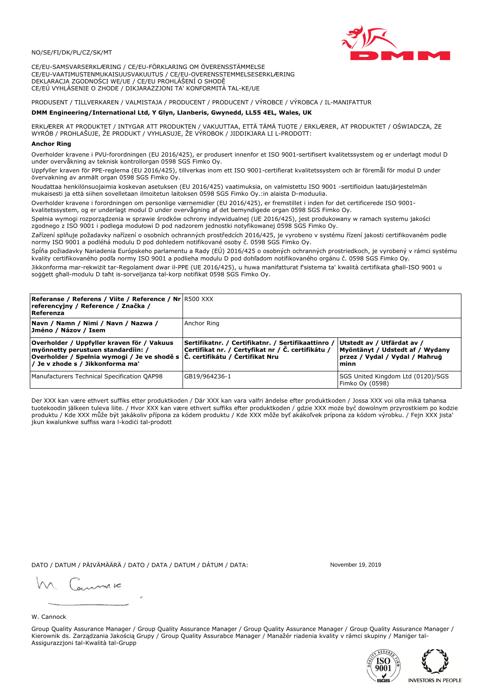## NO/SE/FI/DK/PL/CZ/SK/MT

CE/EU-SAMSVARSERKLÆRING / CE/EU-FÖRKLARING OM ÖVERENSSTÄMMELSE CE/EU-VAATIMUSTENMUKAISUUSVAKUUTUS / CE/EU-OVERENSSTEMMELSESERKLÆRING DEKLARACJA ZGODNOŚCI WE/UE / CE/EU PROHLÁŠENÍ O SHODĚ CE/EÚ VYHLÁSENIE O ZHODE / DIKJARAZZJONI TA' KONFORMITÀ TAL-KE/UE

# PRODUSENT / TILLVERKAREN / VALMISTAJA / PRODUCENT / PRODUCENT / VÝROBCE / VÝROBCA / IL-MANIFATTUR

### DMM Engineering/International Ltd, Y Glyn, Llanberis, Gwynedd, LL55 4EL, Wales, UK

ERKLÆRER AT PRODUKTET / INTYGAR ATT PRODUKTEN / VAKUUTTAA, ETTÄ TÄMÄ TUOTE / ERKLÆRER, AT PRODUKTET / OŚWIADCZA, ŻE<br>WYRÓB / PROHLAŠUJE, ŽE PRODUKT / VYHLASUJE, ŽE VÝROBOK / JIDDIKJARA LI L-PRODOTT:

Overholder kravene i PVU-forordningen (EU 2016/425), er produsert innenfor et ISO 9001-sertifisert kvalitetssystem og er underlagt modul D under overvåkning av teknisk kontrollorgan 0598 SGS Fimko Oy.

Uppfyller kraven för PPE-reglerna (EU 2016/425), tillverkas inom ett ISO 9001-certifierat kvalitetssystem och är föremål för modul D under övervakning av anmält organ 0598 SGS Fimko Oy.

Noudattaa henkilönsuojaimia koskevan asetuksen (EU 2016/425) vaatimuksia, on valmistettu ISO 9001 -sertifioidun laatujärjestelmän mukaisesti ja että siihen sovelletaan ilmoitetun laitoksen 0598 SGS Fimko Oy.:in alaista D-moduulia.

Overholder kravene i forordningen om personlige værnemidler (EU 2016/425), er fremstillet i inden for det certificerede ISO 9001kvalitetssystem, og er underlagt modul D under overvågning af det bemyndigede organ 0598 SGS Fimko Oy.

Spełnia wymogi rozporządzenia w sprawie środków ochrony indywidualnej (UE 2016/425), jest produkowany w ramach systemu jakości zgodnego z ISO 9001 i podlega modułowi D pod nadzorem jednostki notyfikowanej 0598 SGS Fimko Oy.

Zařízení splňuje požadavky nařízení o osobních ochranných prostředcích 2016/425, je vyrobeno v systému řízení jakosti certifikovaném podle normy ISO 9001 a podléhá modulu D pod dohledem notifikované osoby č. 0598 SGS Fimko Oy.

Spĺňa požiadavky Nariadenia Európskeho parlamentu a Rady (EÚ) 2016/425 o osobných ochranných prostriedkoch, je vyrobený v rámci systému kvality certifikovaného podľa normy ISO 9001 a podlieha modulu D pod dohľadom notifikovaného orgánu č. 0598 SGS Fimko Oy.

Jikkonforma mar-rekwiżit tar-Regolament dwar il-PPE (UE 2016/425), u huwa manifatturat f'sistema ta' kwalità certifikata għall-ISO 9001 u soggett għall-modulu D taħt is-sorveljanza tal-korp notifikat 0598 SGS Fimko Oy.

| <b>Referanse / Referens / Viite / Reference / Nr</b> R500 XXX<br>referencyjny / Reference / Značka /<br>Referenza                                                                                                 |                                                                                                         |                                                                                                         |
|-------------------------------------------------------------------------------------------------------------------------------------------------------------------------------------------------------------------|---------------------------------------------------------------------------------------------------------|---------------------------------------------------------------------------------------------------------|
| Navn / Namn / Nimi / Navn / Nazwa /<br> Jméno / Názov / Isem                                                                                                                                                      | Anchor Ring                                                                                             |                                                                                                         |
| Overholder / Uppfyller kraven för / Vakuus<br>myönnetty perustuen standardiin: /<br> Overholder / Spełnia wymogi / Je ve shodě s $ \tilde{C} $ . certifikátu / Čertifikat Nru<br>/ Je v zhode s / Jikkonforma ma' | Sertifikatnr. / Certifikatnr. / Sertifikaattinro /<br>Certifikat nr. / Certyfikat nr / Č. certifikátu / | Utstedt av / Utfärdat av /<br>Myöntänyt / Udstedt af / Wydany<br>przez / Vydal / Vydal / Mahrug<br>minn |
| Manufacturers Technical Specification QAP98                                                                                                                                                                       | GB19/964236-1                                                                                           | SGS United Kingdom Ltd (0120)/SGS<br>Fimko Oy (0598)                                                    |

Der XXX kan være ethvert suffiks etter produktkoden / Där XXX kan vara valfri ändelse efter produktkoden / Jossa XXX voi olla mikä tahansa tuotekoodin jälkeen tuleva liite. / Hvor XXX kan være ethvert suffiks efter produktkoden / gdzie XXX może być dowolnym przyrostkiem po kodzie produktu / Kde XXX může být jakákoliv přípona za kódem produktu / Kde XXX môže byť akákolyek prípona za kódom výrobku. / Fejn XXX jista ikun kwalunkwe suffiss wara l-kodići tal-prodott

DATO / DATUM / PÄIVÄMÄÄRÄ / DATO / DATA / DATUM / DÁTUM / DATA:

November 19 2019

annuic

W. Cannock

Group Quality Assurance Manager / Group Quality Assurance Manager / Group Quality Assurance Manager / Group Quality Assurance Manager / Kierownik ds. Zarządzania Jakością Grupy / Group Quality Assurabce Manager / Manažér riadenia kvality v rámci skupiny / Maniger tal-Assigurazzjoni tal-Kwalità tal-Grupp